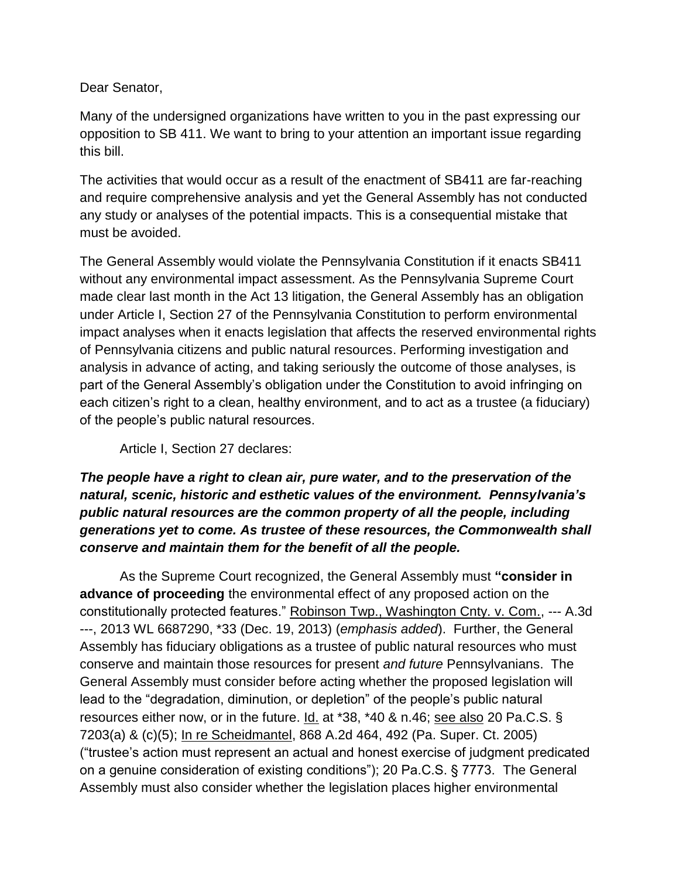Dear Senator,

Many of the undersigned organizations have written to you in the past expressing our opposition to SB 411. We want to bring to your attention an important issue regarding this bill.

The activities that would occur as a result of the enactment of SB411 are far-reaching and require comprehensive analysis and yet the General Assembly has not conducted any study or analyses of the potential impacts. This is a consequential mistake that must be avoided.

The General Assembly would violate the Pennsylvania Constitution if it enacts SB411 without any environmental impact assessment. As the Pennsylvania Supreme Court made clear last month in the Act 13 litigation, the General Assembly has an obligation under Article I, Section 27 of the Pennsylvania Constitution to perform environmental impact analyses when it enacts legislation that affects the reserved environmental rights of Pennsylvania citizens and public natural resources. Performing investigation and analysis in advance of acting, and taking seriously the outcome of those analyses, is part of the General Assembly's obligation under the Constitution to avoid infringing on each citizen's right to a clean, healthy environment, and to act as a trustee (a fiduciary) of the people's public natural resources.

Article I, Section 27 declares:

## *The people have a right to clean air, pure water, and to the preservation of the natural, scenic, historic and esthetic values of the environment. Pennsylvania's public natural resources are the common property of all the people, including generations yet to come. As trustee of these resources, the Commonwealth shall conserve and maintain them for the benefit of all the people.*

As the Supreme Court recognized, the General Assembly must **"consider in advance of proceeding** the environmental effect of any proposed action on the constitutionally protected features." Robinson Twp., Washington Cnty. v. Com., --- A.3d ---, 2013 WL 6687290, \*33 (Dec. 19, 2013) (*emphasis added*). Further, the General Assembly has fiduciary obligations as a trustee of public natural resources who must conserve and maintain those resources for present *and future* Pennsylvanians. The General Assembly must consider before acting whether the proposed legislation will lead to the "degradation, diminution, or depletion" of the people's public natural resources either now, or in the future.  $\underline{Id}$  at \*38, \*40 & n.46; see also 20 Pa.C.S. § 7203(a) & (c)(5); In re Scheidmantel, 868 A.2d 464, 492 (Pa. Super. Ct. 2005) ("trustee's action must represent an actual and honest exercise of judgment predicated on a genuine consideration of existing conditions"); 20 Pa.C.S. § 7773. The General Assembly must also consider whether the legislation places higher environmental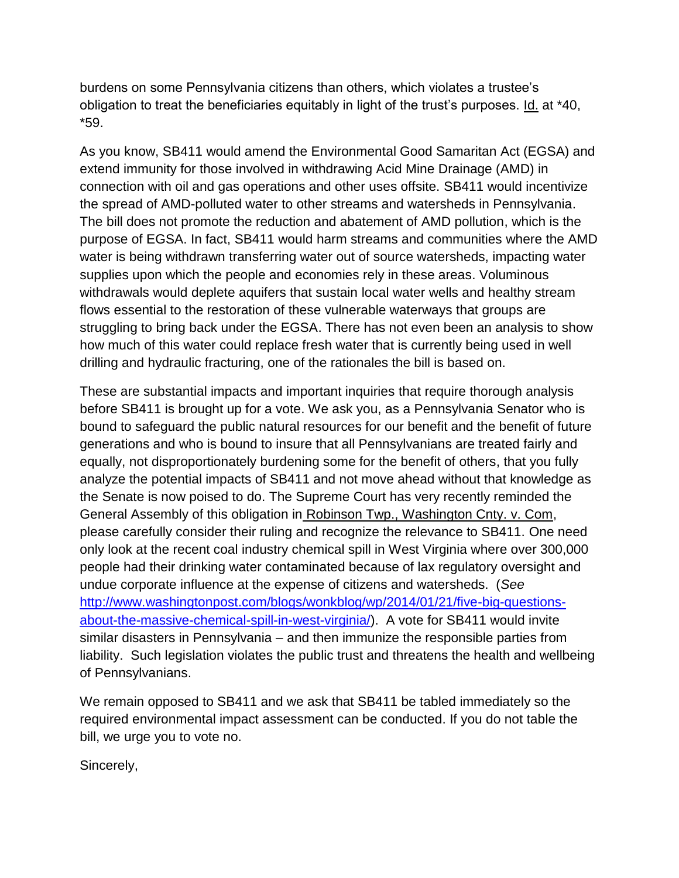burdens on some Pennsylvania citizens than others, which violates a trustee's obligation to treat the beneficiaries equitably in light of the trust's purposes. Id. at \*40, \*59.

As you know, SB411 would amend the Environmental Good Samaritan Act (EGSA) and extend immunity for those involved in withdrawing Acid Mine Drainage (AMD) in connection with oil and gas operations and other uses offsite. SB411 would incentivize the spread of AMD-polluted water to other streams and watersheds in Pennsylvania. The bill does not promote the reduction and abatement of AMD pollution, which is the purpose of EGSA. In fact, SB411 would harm streams and communities where the AMD water is being withdrawn transferring water out of source watersheds, impacting water supplies upon which the people and economies rely in these areas. Voluminous withdrawals would deplete aquifers that sustain local water wells and healthy stream flows essential to the restoration of these vulnerable waterways that groups are struggling to bring back under the EGSA. There has not even been an analysis to show how much of this water could replace fresh water that is currently being used in well drilling and hydraulic fracturing, one of the rationales the bill is based on.

These are substantial impacts and important inquiries that require thorough analysis before SB411 is brought up for a vote. We ask you, as a Pennsylvania Senator who is bound to safeguard the public natural resources for our benefit and the benefit of future generations and who is bound to insure that all Pennsylvanians are treated fairly and equally, not disproportionately burdening some for the benefit of others, that you fully analyze the potential impacts of SB411 and not move ahead without that knowledge as the Senate is now poised to do. The Supreme Court has very recently reminded the General Assembly of this obligation in Robinson Twp., Washington Cnty. v. Com, please carefully consider their ruling and recognize the relevance to SB411. One need only look at the recent coal industry chemical spill in West Virginia where over 300,000 people had their drinking water contaminated because of lax regulatory oversight and undue corporate influence at the expense of citizens and watersheds. (*See* [http://www.washingtonpost.com/blogs/wonkblog/wp/2014/01/21/five-big-questions](http://www.washingtonpost.com/blogs/wonkblog/wp/2014/01/21/five-big-questions-about-the-massive-chemical-spill-in-west-virginia/)[about-the-massive-chemical-spill-in-west-virginia/\)](http://www.washingtonpost.com/blogs/wonkblog/wp/2014/01/21/five-big-questions-about-the-massive-chemical-spill-in-west-virginia/). A vote for SB411 would invite similar disasters in Pennsylvania – and then immunize the responsible parties from liability. Such legislation violates the public trust and threatens the health and wellbeing of Pennsylvanians.

We remain opposed to SB411 and we ask that SB411 be tabled immediately so the required environmental impact assessment can be conducted. If you do not table the bill, we urge you to vote no.

Sincerely,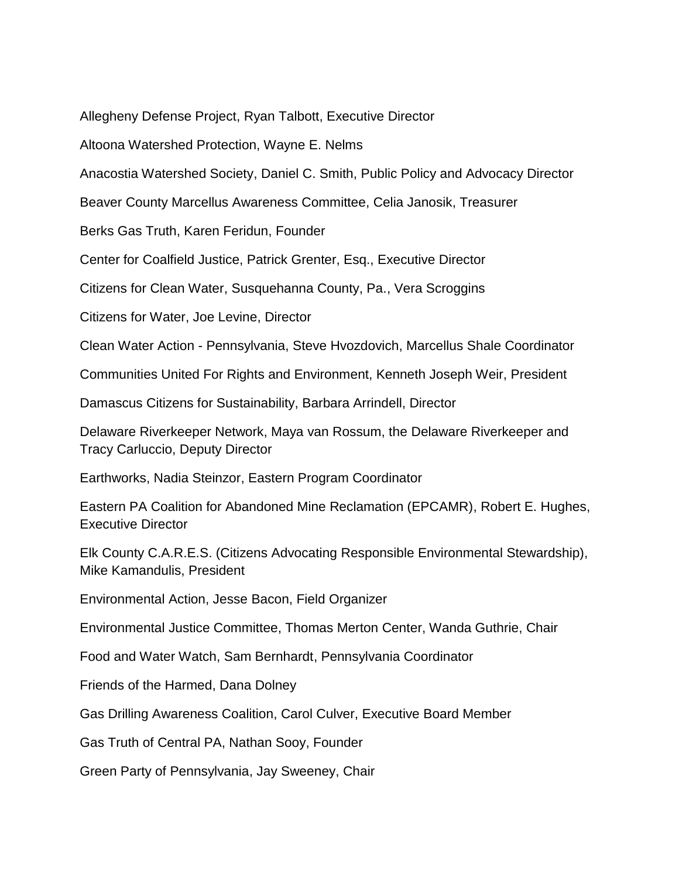Allegheny Defense Project, Ryan Talbott, Executive Director

Altoona Watershed Protection, Wayne E. Nelms

Anacostia Watershed Society, Daniel C. Smith, Public Policy and Advocacy Director

Beaver County Marcellus Awareness Committee, Celia Janosik, Treasurer

Berks Gas Truth, Karen Feridun, Founder

Center for Coalfield Justice, Patrick Grenter, Esq., Executive Director

Citizens for Clean Water, Susquehanna County, Pa., Vera Scroggins

Citizens for Water, Joe Levine, Director

Clean Water Action - Pennsylvania, Steve Hvozdovich, Marcellus Shale Coordinator

Communities United For Rights and Environment, Kenneth Joseph Weir, President

Damascus Citizens for Sustainability, Barbara Arrindell, Director

Delaware Riverkeeper Network, Maya van Rossum, the Delaware Riverkeeper and Tracy Carluccio, Deputy Director

Earthworks, Nadia Steinzor, Eastern Program Coordinator

Eastern PA Coalition for Abandoned Mine Reclamation (EPCAMR), Robert E. Hughes, Executive Director

Elk County C.A.R.E.S. (Citizens Advocating Responsible Environmental Stewardship), Mike Kamandulis, President

Environmental Action, Jesse Bacon, Field Organizer

Environmental Justice Committee, Thomas Merton Center, Wanda Guthrie, Chair

Food and Water Watch, Sam Bernhardt, Pennsylvania Coordinator

Friends of the Harmed, Dana Dolney

Gas Drilling Awareness Coalition, Carol Culver, Executive Board Member

Gas Truth of Central PA, Nathan Sooy, Founder

Green Party of Pennsylvania, Jay Sweeney, Chair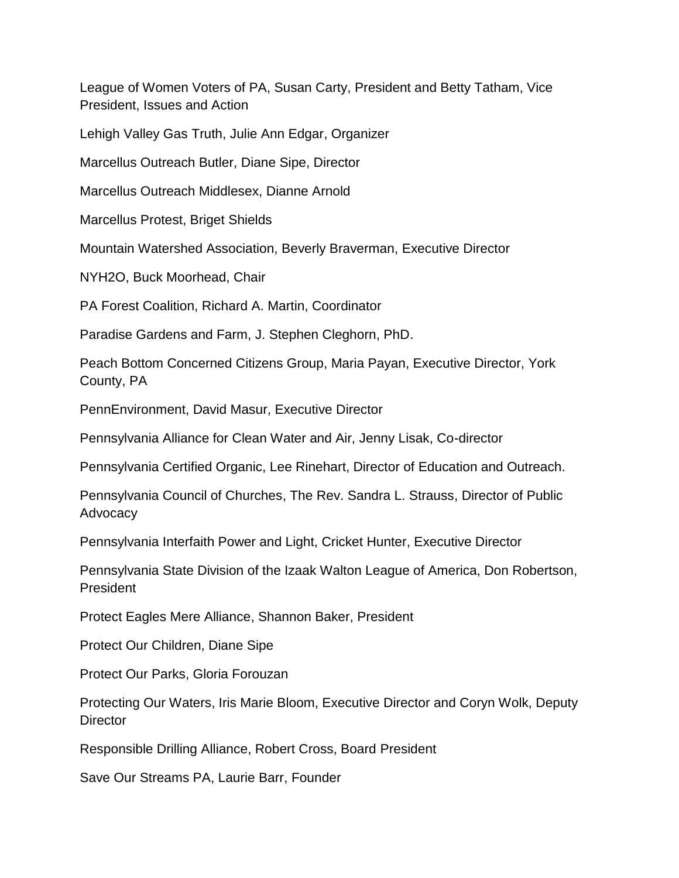League of Women Voters of PA, Susan Carty, President and Betty Tatham, Vice President, Issues and Action

Lehigh Valley Gas Truth, Julie Ann Edgar, Organizer

Marcellus Outreach Butler, Diane Sipe, Director

Marcellus Outreach Middlesex, Dianne Arnold

Marcellus Protest, Briget Shields

Mountain Watershed Association, Beverly Braverman, Executive Director

NYH2O, Buck Moorhead, Chair

PA Forest Coalition, Richard A. Martin, Coordinator

Paradise Gardens and Farm, J. Stephen Cleghorn, PhD.

Peach Bottom Concerned Citizens Group, Maria Payan, Executive Director, York County, PA

PennEnvironment, David Masur, Executive Director

Pennsylvania Alliance for Clean Water and Air, Jenny Lisak, Co-director

Pennsylvania Certified Organic, Lee Rinehart, Director of Education and Outreach.

Pennsylvania Council of Churches, The Rev. Sandra L. Strauss, Director of Public Advocacy

Pennsylvania Interfaith Power and Light, Cricket Hunter, Executive Director

Pennsylvania State Division of the Izaak Walton League of America, Don Robertson, President

Protect Eagles Mere Alliance, Shannon Baker, President

Protect Our Children, Diane Sipe

Protect Our Parks, Gloria Forouzan

Protecting Our Waters, Iris Marie Bloom, Executive Director and Coryn Wolk, Deputy **Director** 

Responsible Drilling Alliance, Robert Cross, Board President

Save Our Streams PA, Laurie Barr, Founder